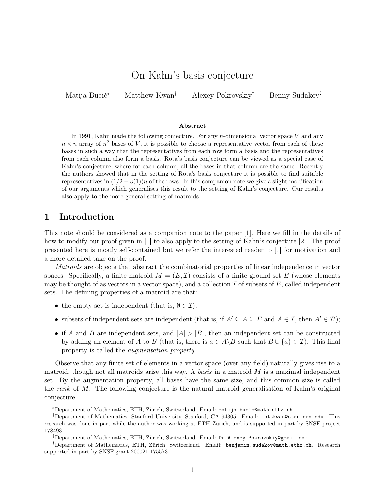# On Kahn's basis conjecture

Matija Bucić<sup>∗</sup> Matthew Kwan† Alexey Pokrovskiy‡ Benny Sudakov§

#### Abstract

In 1991, Kahn made the following conjecture. For any  $n$ -dimensional vector space V and any  $n \times n$  array of  $n^2$  bases of V, it is possible to choose a representative vector from each of these bases in such a way that the representatives from each row form a basis and the representatives from each column also form a basis. Rota's basis conjecture can be viewed as a special case of Kahn's conjecture, where for each column, all the bases in that column are the same. Recently the authors showed that in the setting of Rota's basis conjecture it is possible to find suitable representatives in  $(1/2 - o(1))n$  of the rows. In this companion note we give a slight modification of our arguments which generalises this result to the setting of Kahn's conjecture. Our results also apply to the more general setting of matroids.

## 1 Introduction

This note should be considered as a companion note to the paper [\[1\]](#page-6-0). Here we fill in the details of how to modify our proof given in [\[1\]](#page-6-0) to also apply to the setting of Kahn's conjecture [\[2\]](#page-6-1). The proof presented here is mostly self-contained but we refer the interested reader to [\[1\]](#page-6-0) for motivation and a more detailed take on the proof.

Matroids are objects that abstract the combinatorial properties of linear independence in vector spaces. Specifically, a finite matroid  $M = (E, \mathcal{I})$  consists of a finite ground set E (whose elements may be thought of as vectors in a vector space), and a collection  $\mathcal I$  of subsets of E, called independent sets. The defining properties of a matroid are that:

- the empty set is independent (that is,  $\emptyset \in \mathcal{I}$ );
- subsets of independent sets are independent (that is, if  $A' \subseteq A \subseteq E$  and  $A \in \mathcal{I}$ , then  $A' \in \mathcal{I}'$ );
- if A and B are independent sets, and  $|A| > |B|$ , then an independent set can be constructed by adding an element of A to B (that is, there is  $a \in A \backslash B$  such that  $B \cup \{a\} \in \mathcal{I}$ ). This final property is called the augmentation property.

Observe that any finite set of elements in a vector space (over any field) naturally gives rise to a matroid, though not all matroids arise this way. A basis in a matroid  $M$  is a maximal independent set. By the augmentation property, all bases have the same size, and this common size is called the rank of M. The following conjecture is the natural matroid generalisation of Kahn's original conjecture.

<span id="page-0-0"></span><sup>∗</sup>Department of Mathematics, ETH, Zürich, Switzerland. Email: [matija.bucic@math.ethz.ch](mailto:matija.bucic@math.ethz.ch).

<sup>†</sup>Department of Mathematics, Stanford University, Stanford, CA 94305. Email: [mattkwan@stanford.edu](mailto:mattkwan@stanford.edu). This research was done in part while the author was working at ETH Zurich, and is supported in part by SNSF project 178493.

<sup>‡</sup>Department of Mathematics, ETH, Zürich, Switzerland. Email: [Dr.Alexey.Pokrovskiy@gmail.com](mailto:Dr.Alexey.Pokrovskiy@gmail.com).

<sup>§</sup>Department of Mathematics, ETH, Zürich, Switzerland. Email: [benjamin.sudakov@math.ethz.ch](mailto:benjamin.sudakov@math.ethz.ch). Research supported in part by SNSF grant 200021-175573.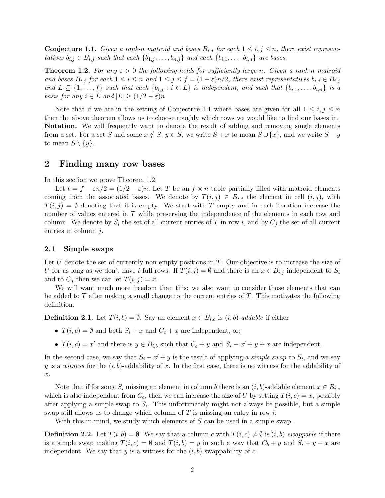**Conjecture 1.1.** Given a rank-n matroid and bases  $B_{i,j}$  for each  $1 \leq i,j \leq n$ , there exist representatives  $b_{i,j} \in B_{i,j}$  such that each  $\{b_{1,j}, \ldots, b_{n,j}\}$  and each  $\{b_{i,1}, \ldots, b_{i,n}\}$  are bases.

<span id="page-1-0"></span>**Theorem 1.2.** For any  $\varepsilon > 0$  the following holds for sufficiently large n. Given a rank-n matroid and bases  $B_{i,j}$  for each  $1 \leq i \leq n$  and  $1 \leq j \leq f = (1 - \varepsilon)n/2$ , there exist representatives  $b_{i,j} \in B_{i,j}$ and  $L \subseteq \{1, \ldots, f\}$  such that each  $\{b_{i,j} : i \in L\}$  is independent, and such that  $\{b_{i,1}, \ldots, b_{i,n}\}$  is a basis for any  $i \in L$  and  $|L| \geq (1/2 - \varepsilon)n$ .

Note that if we are in the setting of [Conjecture 1.1](#page-0-0) where bases are given for all  $1 \leq i, j \leq n$ then the above theorem allows us to choose roughly which rows we would like to find our bases in. Notation. We will frequently want to denote the result of adding and removing single elements from a set. For a set S and some  $x \notin S$ ,  $y \in S$ , we write  $S + x$  to mean  $S \cup \{x\}$ , and we write  $S - y$ to mean  $S \setminus \{y\}.$ 

## 2 Finding many row bases

In this section we prove [Theorem 1.2.](#page-1-0)

Let  $t = f - \varepsilon n/2 = (1/2 - \varepsilon)n$ . Let T be an  $f \times n$  table partially filled with matroid elements coming from the associated bases. We denote by  $T(i, j) \in B_{i,j}$  the element in cell  $(i, j)$ , with  $T(i, j) = \emptyset$  denoting that it is empty. We start with T empty and in each iteration increase the number of values entered in T while preserving the independence of the elements in each row and column. We denote by  $S_i$  the set of all current entries of T in row i, and by  $C_i$  the set of all current entries in column  $j$ .

### 2.1 Simple swaps

Let  $U$  denote the set of currently non-empty positions in  $T$ . Our objective is to increase the size of U for as long as we don't have t full rows. If  $T(i, j) = \emptyset$  and there is an  $x \in B_{i,j}$  independent to  $S_i$ and to  $C_j$  then we can let  $T(i, j) = x$ .

We will want much more freedom than this: we also want to consider those elements that can be added to  $T$  after making a small change to the current entries of  $T$ . This motivates the following definition.

**Definition 2.1.** Let  $T(i, b) = \emptyset$ . Say an element  $x \in B_{i,c}$  is  $(i, b)$ -addable if either

- $T(i, c) = \emptyset$  and both  $S_i + x$  and  $C_c + x$  are independent, or;
- $T(i, c) = x'$  and there is  $y \in B_{i,b}$  such that  $C_b + y$  and  $S_i x' + y + x$  are independent.

In the second case, we say that  $S_i - x' + y$  is the result of applying a *simple swap* to  $S_i$ , and we say y is a witness for the  $(i, b)$ -addability of x. In the first case, there is no witness for the addability of x.

Note that if for some  $S_i$  missing an element in column b there is an  $(i, b)$ -addable element  $x \in B_{i,c}$ which is also independent from  $C_c$ , then we can increase the size of U by setting  $T(i, c) = x$ , possibly after applying a simple swap to  $S_i$ . This unfortunately might not always be possible, but a simple swap still allows us to change which column of T is missing an entry in row i.

With this in mind, we study which elements of  $S$  can be used in a simple swap.

**Definition 2.2.** Let  $T(i, b) = \emptyset$ . We say that a column c with  $T(i, c) \neq \emptyset$  is  $(i, b)$ -swappable if there is a simple swap making  $T(i, c) = \emptyset$  and  $T(i, b) = y$  in such a way that  $C_b + y$  and  $S_i + y - x$  are independent. We say that y is a witness for the  $(i, b)$ -swappability of c.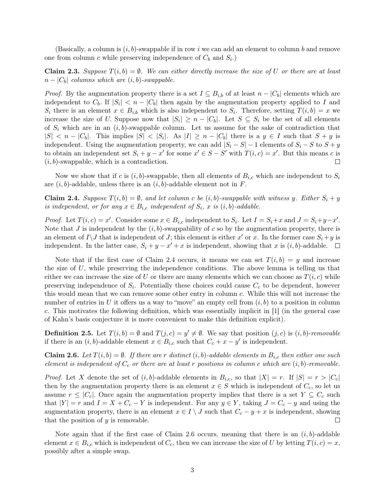(Basically, a column is  $(i, b)$ -swappable if in row i we can add an element to column b and remove one from column c while preserving independence of  $C_b$  and  $S_i$ .

<span id="page-2-2"></span>**Claim 2.3.** Suppose  $T(i, b) = \emptyset$ . We can either directly increase the size of U or there are at least  $n - |C_b|$  columns which are  $(i, b)$ -swappable.

*Proof.* By the augmentation property there is a set  $I \subseteq B_{i,b}$  of at least  $n - |C_b|$  elements which are independent to  $C_b$ . If  $|S_i| < n - |C_b|$  then again by the augmentation property applied to I and  $S_i$  there is an element  $x \in B_{i,b}$  which is also independent to  $S_i$ . Therefore, setting  $T(i,b) = x$  we increase the size of U. Suppose now that  $|S_i| \ge n - |C_b|$ . Let  $S \subseteq S_i$  be the set of all elements of  $S_i$  which are in an  $(i, b)$ -swappable column. Let us assume for the sake of contradiction that  $|S| < n - |C_b|$ . This implies  $|S| < |S_i|$ . As  $|I| \ge n - |C_b|$  there is a  $y \in I$  such that  $S + y$  is independent. Using the augmentation property, we can add  $|S_i - S| - 1$  elements of  $S_i - S$  to  $S + y$ to obtain an independent set  $S_i + y - x'$  for some  $x' \in S - S'$  with  $T(i, c) = x'$ . But this means c is  $(i, b)$ -swappable, which is a contradiction.  $\Box$ 

Now we show that if c is  $(i, b)$ -swappable, then all elements of  $B_{i,c}$  which are independent to  $S_i$ are  $(i, b)$ -addable, unless there is an  $(i, b)$ -addable element not in F.

<span id="page-2-0"></span>**Claim 2.4.** Suppose  $T(i, b) = \emptyset$ , and let column c be  $(i, b)$ -swappable with witness y. Either  $S_i + y$ is independent, or for any  $x \in B_{i,c}$  independent of  $S_i$ , x is  $(i,b)$ -addable.

*Proof.* Let  $T(i, c) = x'$ . Consider some  $x \in B_{i,c}$  independent to  $S_i$ . Let  $I = S_i + x$  and  $J = S_i + y - x'$ . Note that  $J$  is independent by the  $(i, b)$ -swappability of  $c$  so by the augmentation property, there is an element of  $I \setminus J$  that is independent of J; this element is either x' or x. In the former case  $S_i + y$  is independent. In the latter case,  $S_i + y - x' + x$  is independent, showing that x is  $(i, b)$ -addable.

Note that if the first case of [Claim 2.4](#page-2-0) occurs, it means we can set  $T(i, b) = y$  and increase the size of  $U$ , while preserving the independence conditions. The above lemma is telling us that either we can increase the size of U or there are many elements which we can choose as  $T(i, c)$  while preserving independence of  $S_i$ . Potentially these choices could cause  $C_c$  to be dependent, however this would mean that we can remove some other entry in column c. While this will not increase the number of entries in U it offers us a way to "move" an empty cell from  $(i, b)$  to a position in column c. This motivates the following definition, which was essentially implicit in [\[1\]](#page-6-0) (in the general case of Kahn's basis conjecture it is more convenient to make this definition explicit).

**Definition 2.5.** Let  $T(i, b) = \emptyset$  and  $T(j, c) = y' \neq \emptyset$ . We say that position  $(j, c)$  is  $(i, b)$ -removable if there is an  $(i, b)$ -addable element  $x \in B_{i,c}$  such that  $C_c + x - y'$  is independent.

<span id="page-2-1"></span>**Claim 2.6.** Let  $T(i, b) = \emptyset$ . If there are r distinct  $(i, b)$ -addable elements in  $B_{i,c}$  then either one such element is independent of  $C_c$  or there are at least r positions in column c which are  $(i, b)$ -removable.

*Proof.* Let X denote the set of  $(i, b)$ -addable elements in  $B_{i,c}$ , so that  $|X| = r$ . If  $|S| = r > |C_c|$ then by the augmentation property there is an element  $x \in S$  which is independent of  $C_c$ , so let us assume  $r \leq |C_c|$ . Once again the augmentation property implies that there is a set  $Y \subseteq C_c$  such that  $|Y| = r$  and  $I = X + C_c - Y$  is independent. For any  $y \in Y$ , taking  $J = C_c - y$  and using the augmentation property, there is an element  $x \in I \setminus J$  such that  $C_c - y + x$  is independent, showing that the position of  $y$  is removable. П

Note again that if the first case of [Claim 2.6](#page-2-1) occurs, meaning that there is an  $(i, b)$ -addable element  $x \in B_{i,c}$  which is independent of  $C_c$ , then we can increase the size of U by letting  $T(i, c) = x$ , possibly after a simple swap.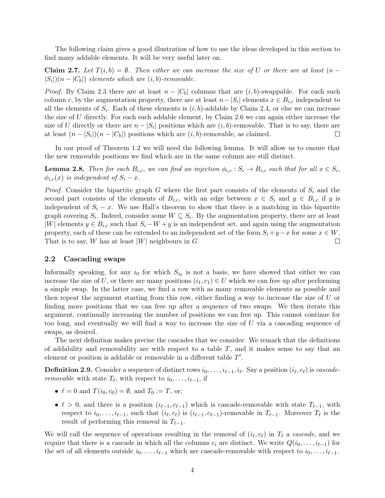The following claim gives a good illustration of how to use the ideas developed in this section to find many addable elements. It will be very useful later on.

**Claim 2.7.** Let  $T(i, b) = \emptyset$ . Then either we can increase the size of U or there are at least  $(n - b)$  $|S_i|$  $(n - |C_b|)$  elements which are  $(i, b)$ -removable.

*Proof.* By [Claim 2.3](#page-2-2) there are at least  $n - |C_b|$  columns that are  $(i, b)$ -swappable. For each such column c, by the augmentation property, there are at least  $n - |S_i|$  elements  $x \in B_{i,c}$  independent to all the elements of  $S_i$ . Each of these elements is  $(i, b)$ -addable by [Claim 2.4,](#page-2-0) or else we can increase the size of U directly. For each such addable element, by [Claim 2.6](#page-2-1) we can again either increase the size of U directly or there are  $n - |S_i|$  positions which are  $(i, b)$ -removable. That is to say, there are at least  $(n - |S_i|)(n - |C_b|)$  positions which are  $(i, b)$ -removable, as claimed.  $\Box$ 

In our proof of [Theorem 1.2](#page-1-0) we will need the following lemma. It will allow us to ensure that the new removable positions we find which are in the same column are still distinct.

<span id="page-3-0"></span>**Lemma 2.8.** Then for each  $B_{i,c}$ , we can find an injection  $\phi_{i,c}: S_i \to B_{i,c}$  such that for all  $x \in S_i$ ,  $\phi_{i,c}(x)$  is independent of  $S_i - x$ .

*Proof.* Consider the bipartite graph G where the first part consists of the elements of  $S_i$  and the second part consists of the elements of  $B_{i,c}$ , with an edge between  $x \in S_i$  and  $y \in B_{i,c}$  if y is independent of  $S_i - x$ . We use Hall's theorem to show that there is a matching in this bipartite graph covering  $S_i$ . Indeed, consider some  $W \subseteq S_i$ . By the augmentation property, there are at least |W| elements  $y \in B_{i,c}$  such that  $S_i - W + y$  is an independent set, and again using the augmentation property, each of these can be extended to an independent set of the form  $S_i+y-x$  for some  $x \in W$ . That is to say, W has at least  $|W|$  neighbours in G.  $\Box$ 

### 2.2 Cascading swaps

Informally speaking, for any  $i_0$  for which  $S_{i_0}$  is not a basis, we have showed that either we can increase the size of U, or there are many positions  $(i_1, c_1) \in U$  which we can free up after performing a simple swap. In the latter case, we find a row with as many removable elements as possible and then repeat the argument starting from this row, either finding a way to increase the size of U or finding more positions that we can free up after a sequence of two swaps. We then iterate this argument, continually increasing the number of positions we can free up. This cannot continue for too long, and eventually we will find a way to increase the size of  $U$  via a cascading sequence of swaps, as desired.

The next definition makes precise the cascades that we consider. We remark that the definitions of addability and removability are with respect to a table  $T$ , and it makes sense to say that an element or position is addable or removable in a different table  $T'$ .

**Definition 2.9.** Consider a sequence of distinct rows  $i_0, \ldots, i_{\ell-1}, i_\ell$ . Say a position  $(i_\ell, c_\ell)$  is *cascaderemovable* with state  $T_{\ell}$ , with respect to  $i_0, \ldots, i_{\ell-1}$ , if

- $\ell = 0$  and  $T(i_0, c_0) = \emptyset$ , and  $T_0 := T$ , or;
- $\ell > 0$ , and there is a position  $(i_{\ell-1}, c_{\ell-1})$  which is cascade-removable with state  $T_{\ell-1}$ , with respect to  $i_0, \ldots, i_{\ell-1}$ , such that  $(i_{\ell}, c_{\ell})$  is  $(i_{\ell-1}, c_{\ell-1})$ -removable in  $T_{\ell-1}$ . Moreover  $T_{\ell}$  is the result of performing this removal in  $T_{\ell-1}$ .

We will call the sequence of operations resulting in the removal of  $(i_{\ell}, c_{\ell})$  in  $T_{\ell}$  a cascade, and we require that there is a cascade in which all the columns  $c_i$  are distinct. We write  $Q(i_0, \ldots, i_{\ell-1})$  for the set of all elements outside  $i_0, \ldots, i_{\ell-1}$  which are cascade-removable with respect to  $i_0, \ldots, i_{\ell-1}$ .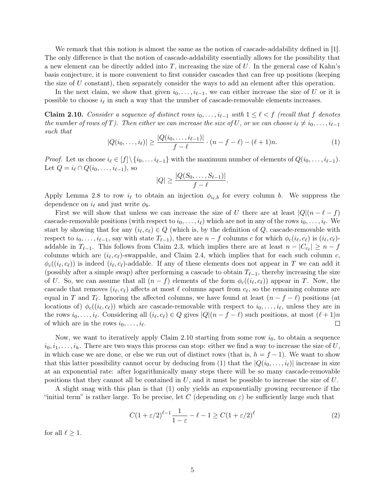We remark that this notion is almost the same as the notion of cascade-addability defined in [\[1\]](#page-6-0). The only difference is that the notion of cascade-addability essentially allows for the possibility that a new element can be directly added into  $T$ , increasing the size of  $U$ . In the general case of Kahn's basis conjecture, it is more convenient to first consider cascades that can free up positions (keeping the size of  $U$  constant), then separately consider the ways to add an element after this operation.

In the next claim, we show that given  $i_0, \ldots, i_{\ell-1}$ , we can either increase the size of U or it is possible to choose  $i_{\ell}$  in such a way that the number of cascade-removable elements increases.

<span id="page-4-0"></span>Claim 2.10. Consider a sequence of distinct rows  $i_0, \ldots, i_{\ell-1}$  with  $1 \leq \ell < f$  (recall that f denotes the number of rows of T). Then either we can increase the size of U, or we can choose  $i_{\ell} \neq i_0, \ldots, i_{\ell-1}$ such that

<span id="page-4-1"></span>
$$
|Q(i_0, \dots, i_\ell)| \ge \frac{|Q(i_0, \dots, i_{\ell-1})|}{f - \ell} \cdot (n - f - \ell) - (\ell + 1)n. \tag{1}
$$

*Proof.* Let us choose  $i_{\ell} \in [f] \setminus \{i_0, \ldots, i_{\ell-1}\}$  with the maximum number of elements of  $Q(i_0, \ldots, i_{\ell-1})$ . Let  $Q = i_{\ell} \cap Q(i_0, \ldots, i_{\ell-1}),$  so

$$
|Q| \geq \frac{|Q(S_0,\ldots,S_{\ell-1})|}{f-\ell}.
$$

Apply [Lemma 2.8](#page-3-0) to row  $i_{\ell}$  to obtain an injection  $\phi_{i_{\ell},b}$  for every column b. We suppress the dependence on  $i_{\ell}$  and just write  $\phi_b$ .

First we will show that unless we can increase the size of U there are at least  $|Q|(n - \ell - f)$ cascade-removable positions (with respect to  $i_0, \ldots, i_\ell$ ) which are not in any of the rows  $i_0, \ldots, i_\ell$ . We start by showing that for any  $(i_{\ell}, c_{\ell}) \in Q$  (which is, by the definition of  $Q$ , cascade-removable with respect to  $i_0, \ldots, i_{\ell-1}$ , say with state  $T_{\ell-1}$ ), there are  $n - f$  columns c for which  $\phi_c(i_\ell, c_\ell)$  is  $(i_\ell, c_\ell)$ addable in  $T_{\ell-1}$ . This follows from [Claim 2.3,](#page-2-2) which implies there are at least  $n - |C_{c_\ell}| \geq n - f$ columns which are  $(i_{\ell}, c_{\ell})$ -swappable, and [Claim 2.4,](#page-2-0) which implies that for each such column c,  $\phi_c((i_\ell, c_\ell))$  is indeed  $(i_\ell, c_\ell)$ -addable. If any of these elements does not appear in T we can add it (possibly after a simple swap) after performing a cascade to obtain  $T_{\ell-1}$ , thereby increasing the size of U. So, we can assume that all  $(n - f)$  elements of the form  $\phi_c((i_\ell, c_\ell))$  appear in T. Now, the cascade that removes  $(i_\ell, c_\ell)$  affects at most  $\ell$  columns apart from  $c_\ell$ , so the remaining columns are equal in T and  $T_{\ell}$ . Ignoring the affected columns, we have found at least  $(n - f - \ell)$  positions (at locations of)  $\phi_c((i_\ell, c_\ell))$  which are cascade-removable with respect to  $i_0, \ldots, i_\ell$ , unless they are in the rows  $i_0, \ldots, i_\ell$ . Considering all  $(i_\ell, c_\ell) \in Q$  gives  $|Q|(n - f - \ell)$  such positions, at most  $(\ell + 1)n$ of which are in the rows  $i_0, \ldots, i_\ell$ .  $\Box$ 

Now, we want to iteratively apply [Claim 2.10](#page-4-0) starting from some row  $i_0$ , to obtain a sequence  $i_0, i_1, \ldots, i_h$ . There are two ways this process can stop: either we find a way to increase the size of U, in which case we are done, or else we run out of distinct rows (that is,  $h = f - 1$ ). We want to show that this latter possibility cannot occur by deducing from [\(1\)](#page-4-1) that the  $|Q(i_0, \ldots, i_\ell)|$  increase in size at an exponential rate: after logarithmically many steps there will be so many cascade-removable positions that they cannot all be contained in  $U$ , and it must be possible to increase the size of  $U$ .

A slight snag with this plan is that [\(1\)](#page-4-1) only yields an exponentially growing recurrence if the "initial term" is rather large. To be precise, let C (depending on  $\varepsilon$ ) be sufficiently large such that

<span id="page-4-2"></span>
$$
C(1+\varepsilon/2)^{\ell-1}\frac{1}{1-\varepsilon} - \ell - 1 \ge C(1+\varepsilon/2)^{\ell}
$$
 (2)

for all  $\ell \geq 1$ .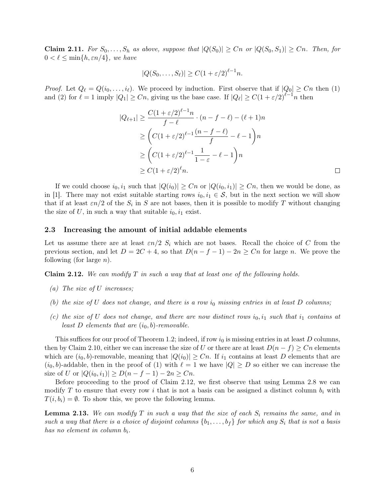**Claim 2.11.** For  $S_0, \ldots, S_h$  as above, suppose that  $|Q(S_0)| \geq Cn$  or  $|Q(S_0, S_1)| \geq Cn$ . Then, for  $0 < \ell \leq \min\{h, \varepsilon n/4\},\$  we have

$$
|Q(S_0,\ldots,S_\ell)| \ge C(1+\varepsilon/2)^{\ell-1}n.
$$

*Proof.* Let  $Q_\ell = Q(i_0, \ldots, i_\ell)$ . We proceed by induction. First observe that if  $|Q_0| \geq Cn$  then [\(1\)](#page-4-1) and [\(2\)](#page-4-2) for  $\ell = 1$  imply  $|Q_1| \geq Cn$ , giving us the base case. If  $|Q_\ell| \geq C(1 + \varepsilon/2)^{\ell-1}n$  then

$$
|Q_{\ell+1}| \geq \frac{C(1+\varepsilon/2)^{\ell-1}n}{f-\ell} \cdot (n-f-\ell) - (\ell+1)n
$$
  
\n
$$
\geq \left(C(1+\varepsilon/2)^{\ell-1}\frac{(n-f-\ell)}{f} - \ell - 1\right)n
$$
  
\n
$$
\geq \left(C(1+\varepsilon/2)^{\ell-1}\frac{1}{1-\varepsilon} - \ell - 1\right)n
$$
  
\n
$$
\geq C(1+\varepsilon/2)^{\ell}n.
$$

If we could choose  $i_0, i_1$  such that  $|Q(i_0)| \geq Cn$  or  $|Q(i_0, i_1)| \geq Cn$ , then we would be done, as in [\[1\]](#page-6-0). There may not exist suitable starting rows  $i_0, i_1 \in S$ , but in the next section we will show that if at least  $\varepsilon n/2$  of the  $S_i$  in S are not bases, then it is possible to modify T without changing the size of U, in such a way that suitable  $i_0, i_1$  exist.

#### 2.3 Increasing the amount of initial addable elements

Let us assume there are at least  $\varepsilon n/2$  S<sub>i</sub> which are not bases. Recall the choice of C from the previous section, and let  $D = 2C + 4$ , so that  $D(n - f - 1) - 2n \geq C_n$  for large n. We prove the following (for large  $n$ ).

<span id="page-5-0"></span>**Claim 2.12.** We can modify  $T$  in such a way that at least one of the following holds.

- (a) The size of U increases;
- (b) the size of U does not change, and there is a row  $i_0$  missing entries in at least D columns;
- (c) the size of U does not change, and there are now distinct rows  $i_0, i_1$  such that  $i_1$  contains at least D elements that are  $(i_0, b)$ -removable.

This suffices for our proof of [Theorem 1.2;](#page-1-0) indeed, if row  $i_0$  is missing entries in at least D columns, then by [Claim 2.10,](#page-4-0) either we can increase the size of U or there are at least  $D(n - f) \geq Cn$  elements which are  $(i_0, b)$ -removable, meaning that  $|Q(i_0)| \geq Cn$ . If  $i_1$  contains at least D elements that are  $(i_0, b)$ -addable, then in the proof of [\(1\)](#page-4-1) with  $\ell = 1$  we have  $|Q| \ge D$  so either we can increase the size of U or  $|Q(i_0, i_1)| \ge D(n - f - 1) - 2n \ge Cn$ .

Before proceeding to the proof of [Claim 2.12,](#page-5-0) we first observe that using [Lemma 2.8](#page-3-0) we can modify T to ensure that every row i that is not a basis can be assigned a distinct column  $b_i$  with  $T(i, b_i) = \emptyset$ . To show this, we prove the following lemma.

<span id="page-5-1"></span>**Lemma 2.13.** We can modify T in such a way that the size of each  $S_i$  remains the same, and in such a way that there is a choice of disjoint columns  $\{b_1, \ldots, b_f\}$  for which any  $S_i$  that is not a basis has no element in column  $b_i$ .